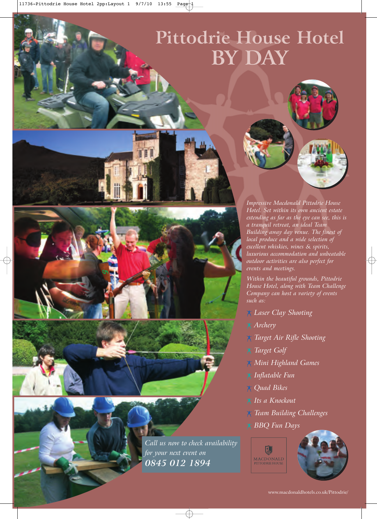## **Pittodrie House Hotel BY DAY**

*Impressive Macdonald Pittodrie House Hotel. Set within its own ancient estate extending as far as the eye can see, this is a tranquil retreat, an ideal Team Building away day venue. The finest of local produce and a wide selection of excellent whiskies, wines & spirits, luxurious accommodation and unbeatable outdoor activities are also perfect for events and meetings.*

*Within the beautiful grounds, Pittodrie House Hotel, along with Team Challenge Company can host a variety of events such as:*

*Laser Clay Shooting*

- *Archery*
- *Target Air Rifle Shooting*
- *Target Golf*
- *Mini Highland Games*
- *Inflatable Fun*
- *Quad Bikes*
- *Its a Knockout*
- *Team Building Challenges*
- *BBQ Fun Days*



*Call us now to check availability*

*for your next event on 0845 012 1894*